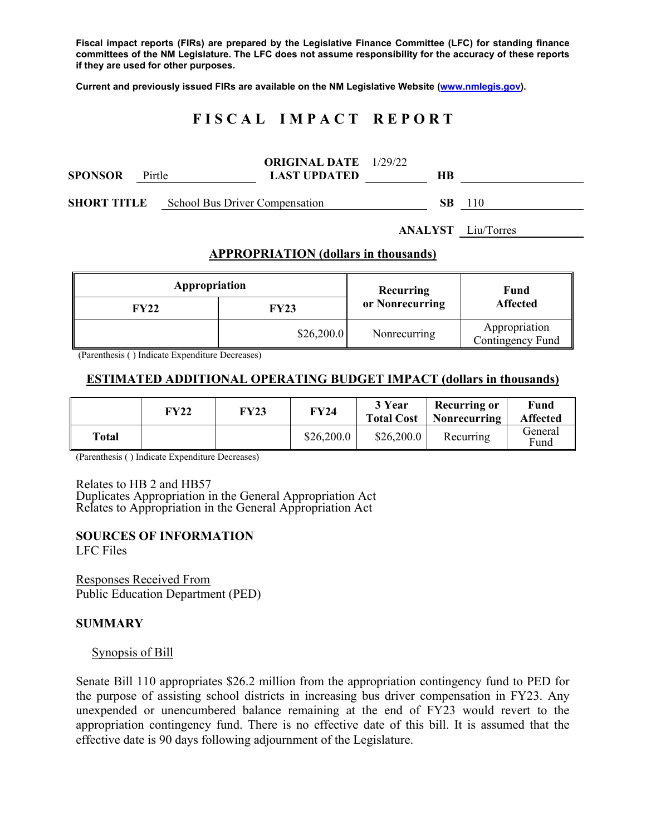**Fiscal impact reports (FIRs) are prepared by the Legislative Finance Committee (LFC) for standing finance committees of the NM Legislature. The LFC does not assume responsibility for the accuracy of these reports if they are used for other purposes.** 

**Current and previously issued FIRs are available on the NM Legislative Website (www.nmlegis.gov).** 

# **F I S C A L I M P A C T R E P O R T**

| <b>SPONSOR</b> | Pirtle |                                       | <b>ORIGINAL DATE</b> 1/29/22<br><b>LAST UPDATED</b> | HВ |     |
|----------------|--------|---------------------------------------|-----------------------------------------------------|----|-----|
| SHORT TITLE    |        | <b>School Bus Driver Compensation</b> |                                                     | SВ | 110 |

**ANALYST** Liu/Torres

### **APPROPRIATION (dollars in thousands)**

| Appropriation |             | Recurring       | Fund<br><b>Affected</b>           |  |
|---------------|-------------|-----------------|-----------------------------------|--|
| FY22          | <b>FY23</b> | or Nonrecurring |                                   |  |
|               | \$26,200.0  | Nonrecurring    | Appropriation<br>Contingency Fund |  |

(Parenthesis ( ) Indicate Expenditure Decreases)

### **ESTIMATED ADDITIONAL OPERATING BUDGET IMPACT (dollars in thousands)**

|       | FY22 | FY23 | <b>FY24</b> | 3 Year<br><b>Total Cost</b> | Recurring or<br>Nonrecurring | Fund<br><b>Affected</b> |
|-------|------|------|-------------|-----------------------------|------------------------------|-------------------------|
| Total |      |      | \$26,200.0  | \$26,200.0                  | Recurring                    | General<br>Fund         |

(Parenthesis ( ) Indicate Expenditure Decreases)

Relates to HB 2 and HB57 Duplicates Appropriation in the General Appropriation Act Relates to Appropriation in the General Appropriation Act

#### **SOURCES OF INFORMATION**

LFC Files

Responses Received From Public Education Department (PED)

#### **SUMMARY**

#### Synopsis of Bill

Senate Bill 110 appropriates \$26.2 million from the appropriation contingency fund to PED for the purpose of assisting school districts in increasing bus driver compensation in FY23. Any unexpended or unencumbered balance remaining at the end of FY23 would revert to the appropriation contingency fund. There is no effective date of this bill. It is assumed that the effective date is 90 days following adjournment of the Legislature.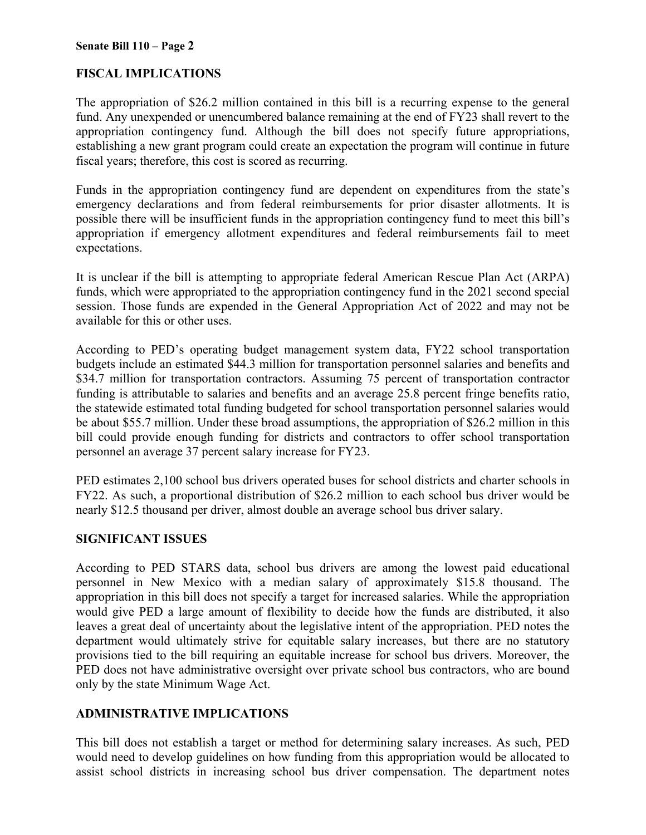### **Senate Bill 110 – Page 2**

# **FISCAL IMPLICATIONS**

The appropriation of \$26.2 million contained in this bill is a recurring expense to the general fund. Any unexpended or unencumbered balance remaining at the end of FY23 shall revert to the appropriation contingency fund. Although the bill does not specify future appropriations, establishing a new grant program could create an expectation the program will continue in future fiscal years; therefore, this cost is scored as recurring.

Funds in the appropriation contingency fund are dependent on expenditures from the state's emergency declarations and from federal reimbursements for prior disaster allotments. It is possible there will be insufficient funds in the appropriation contingency fund to meet this bill's appropriation if emergency allotment expenditures and federal reimbursements fail to meet expectations.

It is unclear if the bill is attempting to appropriate federal American Rescue Plan Act (ARPA) funds, which were appropriated to the appropriation contingency fund in the 2021 second special session. Those funds are expended in the General Appropriation Act of 2022 and may not be available for this or other uses.

According to PED's operating budget management system data, FY22 school transportation budgets include an estimated \$44.3 million for transportation personnel salaries and benefits and \$34.7 million for transportation contractors. Assuming 75 percent of transportation contractor funding is attributable to salaries and benefits and an average 25.8 percent fringe benefits ratio, the statewide estimated total funding budgeted for school transportation personnel salaries would be about \$55.7 million. Under these broad assumptions, the appropriation of \$26.2 million in this bill could provide enough funding for districts and contractors to offer school transportation personnel an average 37 percent salary increase for FY23.

PED estimates 2,100 school bus drivers operated buses for school districts and charter schools in FY22. As such, a proportional distribution of \$26.2 million to each school bus driver would be nearly \$12.5 thousand per driver, almost double an average school bus driver salary.

# **SIGNIFICANT ISSUES**

According to PED STARS data, school bus drivers are among the lowest paid educational personnel in New Mexico with a median salary of approximately \$15.8 thousand. The appropriation in this bill does not specify a target for increased salaries. While the appropriation would give PED a large amount of flexibility to decide how the funds are distributed, it also leaves a great deal of uncertainty about the legislative intent of the appropriation. PED notes the department would ultimately strive for equitable salary increases, but there are no statutory provisions tied to the bill requiring an equitable increase for school bus drivers. Moreover, the PED does not have administrative oversight over private school bus contractors, who are bound only by the state Minimum Wage Act.

## **ADMINISTRATIVE IMPLICATIONS**

This bill does not establish a target or method for determining salary increases. As such, PED would need to develop guidelines on how funding from this appropriation would be allocated to assist school districts in increasing school bus driver compensation. The department notes